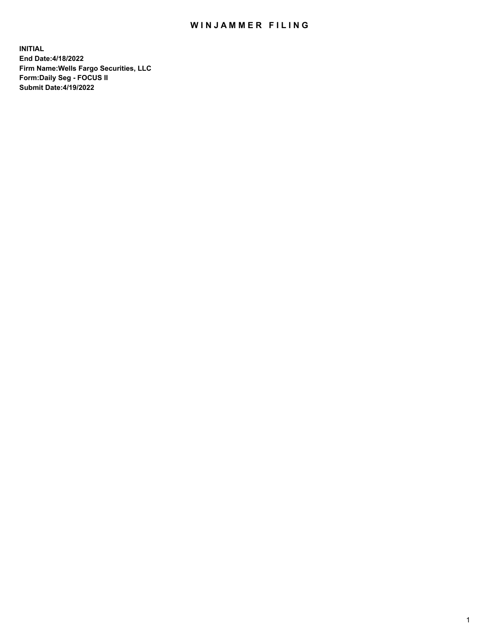## WIN JAMMER FILING

**INITIAL End Date:4/18/2022 Firm Name:Wells Fargo Securities, LLC Form:Daily Seg - FOCUS II Submit Date:4/19/2022**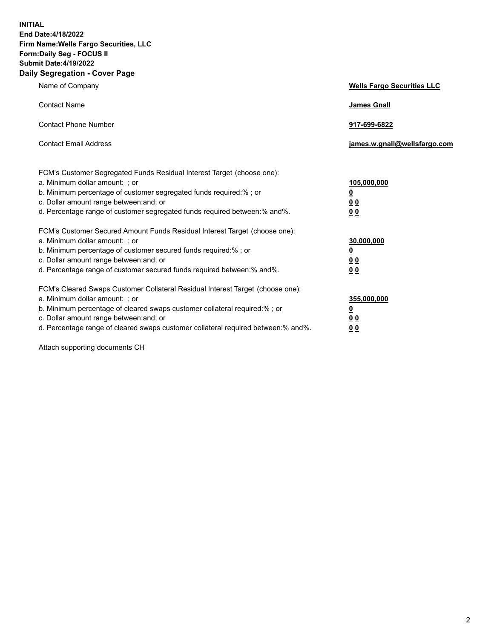**INITIAL End Date:4/18/2022 Firm Name:Wells Fargo Securities, LLC Form:Daily Seg - FOCUS II Submit Date:4/19/2022 Daily Segregation - Cover Page**

| Name of Company                                                                                                                                                                                                                                                                                                                | <b>Wells Fargo Securities LLC</b>                          |
|--------------------------------------------------------------------------------------------------------------------------------------------------------------------------------------------------------------------------------------------------------------------------------------------------------------------------------|------------------------------------------------------------|
| <b>Contact Name</b>                                                                                                                                                                                                                                                                                                            | <b>James Gnall</b>                                         |
| <b>Contact Phone Number</b>                                                                                                                                                                                                                                                                                                    | 917-699-6822                                               |
| <b>Contact Email Address</b>                                                                                                                                                                                                                                                                                                   | james.w.gnall@wellsfargo.com                               |
| FCM's Customer Segregated Funds Residual Interest Target (choose one):<br>a. Minimum dollar amount: ; or<br>b. Minimum percentage of customer segregated funds required:% ; or<br>c. Dollar amount range between: and; or<br>d. Percentage range of customer segregated funds required between:% and%.                         | 105,000,000<br><u>0</u><br>0 <sub>0</sub><br>00            |
| FCM's Customer Secured Amount Funds Residual Interest Target (choose one):<br>a. Minimum dollar amount: ; or<br>b. Minimum percentage of customer secured funds required:%; or<br>c. Dollar amount range between: and; or<br>d. Percentage range of customer secured funds required between:% and%.                            | 30,000,000<br><u>0</u><br>0 <sub>0</sub><br>0 <sub>0</sub> |
| FCM's Cleared Swaps Customer Collateral Residual Interest Target (choose one):<br>a. Minimum dollar amount: ; or<br>b. Minimum percentage of cleared swaps customer collateral required:% ; or<br>c. Dollar amount range between: and; or<br>d. Percentage range of cleared swaps customer collateral required between:% and%. | 355,000,000<br><u>0</u><br>00<br>00                        |

Attach supporting documents CH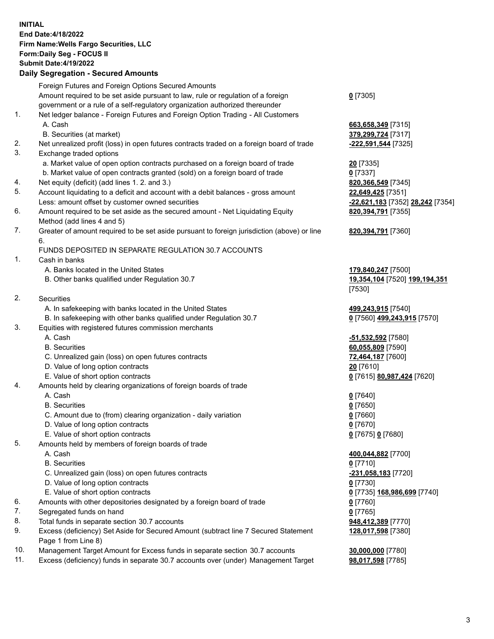**INITIAL End Date:4/18/2022 Firm Name:Wells Fargo Securities, LLC Form:Daily Seg - FOCUS II Submit Date:4/19/2022 Daily Segregation - Secured Amounts**

Foreign Futures and Foreign Options Secured Amounts Amount required to be set aside pursuant to law, rule or regulation of a foreign government or a rule of a self-regulatory organization authorized thereunder **0** [7305] 1. Net ledger balance - Foreign Futures and Foreign Option Trading - All Customers A. Cash **663,658,349** [7315] B. Securities (at market) **379,299,724** [7317] 2. Net unrealized profit (loss) in open futures contracts traded on a foreign board of trade **-222,591,544** [7325] 3. Exchange traded options a. Market value of open option contracts purchased on a foreign board of trade **20** [7335] b. Market value of open contracts granted (sold) on a foreign board of trade **0** [7337] 4. Net equity (deficit) (add lines 1. 2. and 3.) **820,366,549** [7345] 5. Account liquidating to a deficit and account with a debit balances - gross amount **22,649,425** [7351] Less: amount offset by customer owned securities **-22,621,183** [7352] **28,242** [7354] 6. Amount required to be set aside as the secured amount - Net Liquidating Equity Method (add lines 4 and 5) **820,394,791** [7355] 7. Greater of amount required to be set aside pursuant to foreign jurisdiction (above) or line 6. **820,394,791** [7360] FUNDS DEPOSITED IN SEPARATE REGULATION 30.7 ACCOUNTS 1. Cash in banks A. Banks located in the United States **179,840,247** [7500] B. Other banks qualified under Regulation 30.7 **19,354,104** [7520] **199,194,351** [7530] 2. Securities A. In safekeeping with banks located in the United States **499,243,915** [7540] B. In safekeeping with other banks qualified under Regulation 30.7 **0** [7560] **499,243,915** [7570] 3. Equities with registered futures commission merchants A. Cash **-51,532,592** [7580] B. Securities **60,055,809** [7590] C. Unrealized gain (loss) on open futures contracts **72,464,187** [7600] D. Value of long option contracts **20** [7610] E. Value of short option contracts **0** [7615] **80,987,424** [7620] 4. Amounts held by clearing organizations of foreign boards of trade A. Cash **0** [7640] B. Securities **0** [7650] C. Amount due to (from) clearing organization - daily variation **0** [7660] D. Value of long option contracts **0** [7670] E. Value of short option contracts **0** [7675] **0** [7680] 5. Amounts held by members of foreign boards of trade A. Cash **400,044,882** [7700] B. Securities **0** [7710] C. Unrealized gain (loss) on open futures contracts **-231,058,183** [7720] D. Value of long option contracts **0** [7730] E. Value of short option contracts **0** [7735] **168,986,699** [7740] 6. Amounts with other depositories designated by a foreign board of trade **0** [7760] 7. Segregated funds on hand **0** [7765] 8. Total funds in separate section 30.7 accounts **948,412,389** [7770] 9. Excess (deficiency) Set Aside for Secured Amount (subtract line 7 Secured Statement Page 1 from Line 8) **128,017,598** [7380]

- 10. Management Target Amount for Excess funds in separate section 30.7 accounts **30,000,000** [7780]
- 11. Excess (deficiency) funds in separate 30.7 accounts over (under) Management Target **98,017,598** [7785]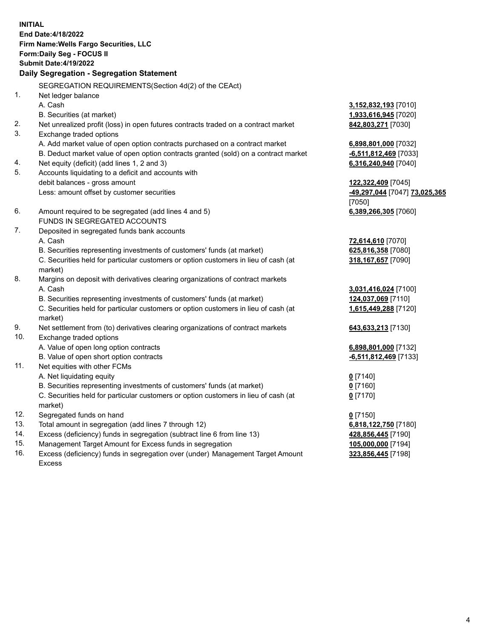**INITIAL End Date:4/18/2022 Firm Name:Wells Fargo Securities, LLC Form:Daily Seg - FOCUS II Submit Date:4/19/2022 Daily Segregation - Segregation Statement** SEGREGATION REQUIREMENTS(Section 4d(2) of the CEAct) 1. Net ledger balance A. Cash **3,152,832,193** [7010] B. Securities (at market) **1,933,616,945** [7020] 2. Net unrealized profit (loss) in open futures contracts traded on a contract market **842,803,271** [7030] 3. Exchange traded options A. Add market value of open option contracts purchased on a contract market **6,898,801,000** [7032] B. Deduct market value of open option contracts granted (sold) on a contract market **-6,511,812,469** [7033] 4. Net equity (deficit) (add lines 1, 2 and 3) **6,316,240,940** [7040] 5. Accounts liquidating to a deficit and accounts with debit balances - gross amount **122,322,409** [7045] Less: amount offset by customer securities **-49,297,044** [7047] **73,025,365** [7050] 6. Amount required to be segregated (add lines 4 and 5) **6,389,266,305** [7060] FUNDS IN SEGREGATED ACCOUNTS 7. Deposited in segregated funds bank accounts A. Cash **72,614,610** [7070] B. Securities representing investments of customers' funds (at market) **625,816,358** [7080] C. Securities held for particular customers or option customers in lieu of cash (at market) **318,167,657** [7090] 8. Margins on deposit with derivatives clearing organizations of contract markets A. Cash **3,031,416,024** [7100] B. Securities representing investments of customers' funds (at market) **124,037,069** [7110] C. Securities held for particular customers or option customers in lieu of cash (at market) **1,615,449,288** [7120] 9. Net settlement from (to) derivatives clearing organizations of contract markets **643,633,213** [7130] 10. Exchange traded options A. Value of open long option contracts **6,898,801,000** [7132] B. Value of open short option contracts **-6,511,812,469** [7133] 11. Net equities with other FCMs A. Net liquidating equity **0** [7140] B. Securities representing investments of customers' funds (at market) **0** [7160] C. Securities held for particular customers or option customers in lieu of cash (at market) **0** [7170] 12. Segregated funds on hand **0** [7150] 13. Total amount in segregation (add lines 7 through 12) **6,818,122,750** [7180] 14. Excess (deficiency) funds in segregation (subtract line 6 from line 13) **428,856,445** [7190] 15. Management Target Amount for Excess funds in segregation **105,000,000** [7194]

16. Excess (deficiency) funds in segregation over (under) Management Target Amount Excess

**323,856,445** [7198]